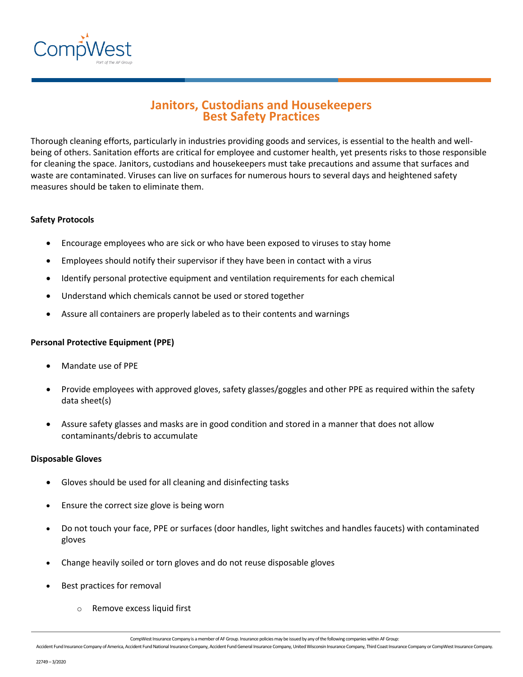

# **Janitors, Custodians and Housekeepers Best Safety Practices**

Thorough cleaning efforts, particularly in industries providing goods and services, is essential to the health and wellbeing of others. Sanitation efforts are critical for employee and customer health, yet presents risks to those responsible for cleaning the space. Janitors, custodians and housekeepers must take precautions and assume that surfaces and waste are contaminated. Viruses can live on surfaces for numerous hours to several days and heightened safety measures should be taken to eliminate them.

## **Safety Protocols**

- Encourage employees who are sick or who have been exposed to viruses to stay home
- Employees should notify their supervisor if they have been in contact with a virus
- Identify personal protective equipment and ventilation requirements for each chemical
- Understand which chemicals cannot be used or stored together
- Assure all containers are properly labeled as to their contents and warnings

## **Personal Protective Equipment (PPE)**

- Mandate use of PPE
- Provide employees with approved gloves, safety glasses/goggles and other PPE as required within the safety data sheet(s)
- Assure safety glasses and masks are in good condition and stored in a manner that does not allow contaminants/debris to accumulate

## **Disposable Gloves**

- Gloves should be used for all cleaning and disinfecting tasks
- Ensure the correct size glove is being worn
- Do not touch your face, PPE or surfaces (door handles, light switches and handles faucets) with contaminated gloves
- Change heavily soiled or torn gloves and do not reuse disposable gloves
- Best practices for removal
	- Remove excess liquid first

CompWest Insurance Company is a member of AF Group. Insurance policies may be issued by any of the following companies within AF Group:

Accident Fund Insurance Company of America, Accident Fund National Insurance Company, Accident Fund General Insurance Company, United Wisconsin Insurance Company, Third Coast Insurance Company or CompWest Insurance Company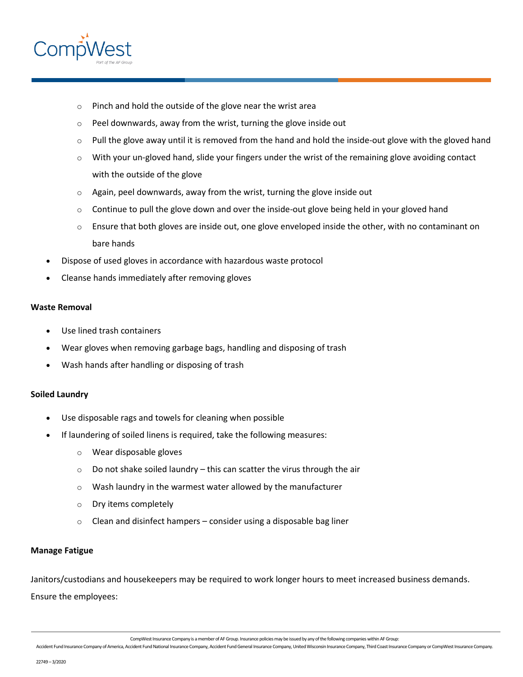

- o Pinch and hold the outside of the glove near the wrist area
- $\circ$  Peel downwards, away from the wrist, turning the glove inside out
- $\circ$  Pull the glove away until it is removed from the hand and hold the inside-out glove with the gloved hand
- $\circ$  With your un-gloved hand, slide your fingers under the wrist of the remaining glove avoiding contact with the outside of the glove
- $\circ$  Again, peel downwards, away from the wrist, turning the glove inside out
- $\circ$  Continue to pull the glove down and over the inside-out glove being held in your gloved hand
- o Ensure that both gloves are inside out, one glove enveloped inside the other, with no contaminant on bare hands
- Dispose of used gloves in accordance with hazardous waste protocol
- Cleanse hands immediately after removing gloves

### **Waste Removal**

- Use lined trash containers
- Wear gloves when removing garbage bags, handling and disposing of trash
- [Wash hands](https://www.cdc.gov/handwashing/when-how-handwashing.html) after handling or disposing of trash

## **Soiled Laundry**

- Use disposable rags and towels for cleaning when possible
- If laundering of soiled linens is required, take the following measures:
	- o Wear disposable gloves
	- $\circ$  Do not shake soiled laundry this can scatter the virus through the air
	- $\circ$  Wash laundry in the warmest water allowed by the manufacturer
	- o Dry items completely
	- $\circ$  Clean and disinfect hampers consider using a disposable bag liner

## **Manage Fatigue**

Janitors/custodians and housekeepers may be required to work longer hours to meet increased business demands. Ensure the employees:

CompWest Insurance Company is a member of AF Group. Insurance policies may be issued by any of the following companies within AF Group: